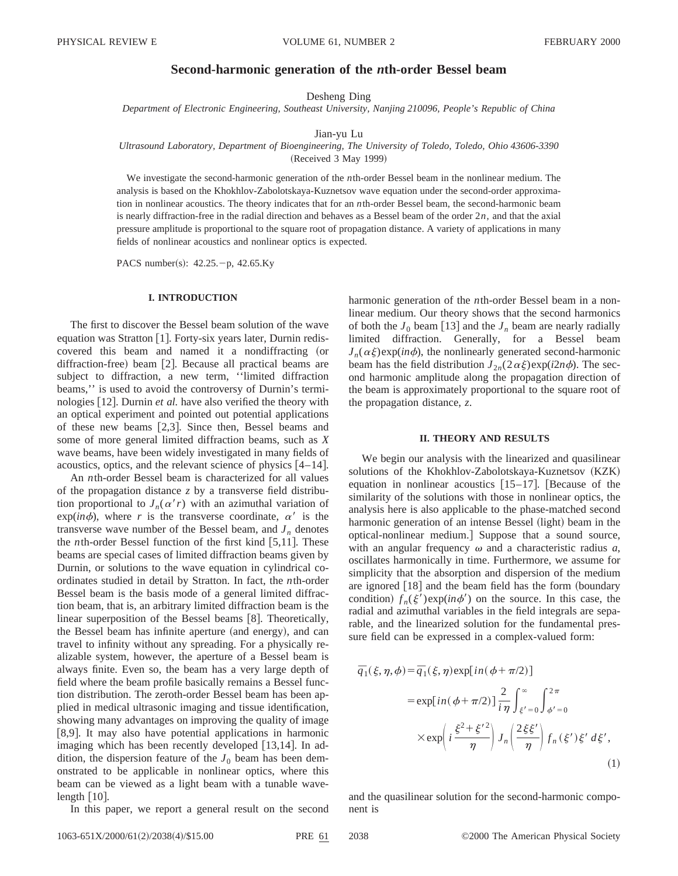# **Second-harmonic generation of the** *n***th-order Bessel beam**

Desheng Ding

*Department of Electronic Engineering, Southeast University, Nanjing 210096, People's Republic of China*

#### Jian-yu Lu

## *Ultrasound Laboratory, Department of Bioengineering, The University of Toledo, Toledo, Ohio 43606-3390*

(Received 3 May 1999)

We investigate the second-harmonic generation of the *n*th-order Bessel beam in the nonlinear medium. The analysis is based on the Khokhlov-Zabolotskaya-Kuznetsov wave equation under the second-order approximation in nonlinear acoustics. The theory indicates that for an *n*th-order Bessel beam, the second-harmonic beam is nearly diffraction-free in the radial direction and behaves as a Bessel beam of the order 2*n*, and that the axial pressure amplitude is proportional to the square root of propagation distance. A variety of applications in many fields of nonlinear acoustics and nonlinear optics is expected.

PACS number(s):  $42.25.-p$ ,  $42.65.Ky$ 

## **I. INTRODUCTION**

The first to discover the Bessel beam solution of the wave equation was Stratton [1]. Forty-six years later, Durnin rediscovered this beam and named it a nondiffracting (or diffraction-free) beam  $[2]$ . Because all practical beams are subject to diffraction, a new term, ''limited diffraction beams,'' is used to avoid the controversy of Durnin's terminologies [12]. Durnin *et al.* have also verified the theory with an optical experiment and pointed out potential applications of these new beams  $[2,3]$ . Since then, Bessel beams and some of more general limited diffraction beams, such as *X* wave beams, have been widely investigated in many fields of acoustics, optics, and the relevant science of physics  $[4-14]$ .

An *n*th-order Bessel beam is characterized for all values of the propagation distance *z* by a transverse field distribution proportional to  $J_n(\alpha' r)$  with an azimuthal variation of  $exp(in\phi)$ , where *r* is the transverse coordinate,  $\alpha'$  is the transverse wave number of the Bessel beam, and  $J_n$  denotes the *n*th-order Bessel function of the first kind  $[5,11]$ . These beams are special cases of limited diffraction beams given by Durnin, or solutions to the wave equation in cylindrical coordinates studied in detail by Stratton. In fact, the *n*th-order Bessel beam is the basis mode of a general limited diffraction beam, that is, an arbitrary limited diffraction beam is the linear superposition of the Bessel beams  $[8]$ . Theoretically, the Bessel beam has infinite aperture (and energy), and can travel to infinity without any spreading. For a physically realizable system, however, the aperture of a Bessel beam is always finite. Even so, the beam has a very large depth of field where the beam profile basically remains a Bessel function distribution. The zeroth-order Bessel beam has been applied in medical ultrasonic imaging and tissue identification, showing many advantages on improving the quality of image [8,9]. It may also have potential applications in harmonic imaging which has been recently developed  $[13,14]$ . In addition, the dispersion feature of the  $J_0$  beam has been demonstrated to be applicable in nonlinear optics, where this beam can be viewed as a light beam with a tunable wavelength  $|10|$ .

In this paper, we report a general result on the second

harmonic generation of the *n*th-order Bessel beam in a nonlinear medium. Our theory shows that the second harmonics of both the  $J_0$  beam [13] and the  $J_n$  beam are nearly radially limited diffraction. Generally, for a Bessel beam  $J_n(\alpha \xi)$ exp(*in* $\phi$ ), the nonlinearly generated second-harmonic beam has the field distribution  $J_{2n}(2\alpha \xi) \exp(i2n\phi)$ . The second harmonic amplitude along the propagation direction of the beam is approximately proportional to the square root of the propagation distance, *z*.

#### **II. THEORY AND RESULTS**

We begin our analysis with the linearized and quasilinear solutions of the Khokhlov-Zabolotskaya-Kuznetsov (KZK) equation in nonlinear acoustics  $[15-17]$ . [Because of the similarity of the solutions with those in nonlinear optics, the analysis here is also applicable to the phase-matched second harmonic generation of an intense Bessel (light) beam in the optical-nonlinear medium.] Suppose that a sound source, with an angular frequency  $\omega$  and a characteristic radius  $a$ , oscillates harmonically in time. Furthermore, we assume for simplicity that the absorption and dispersion of the medium are ignored  $\lceil 18 \rceil$  and the beam field has the form (boundary condition)  $f_n(\xi')\exp(in\phi')$  on the source. In this case, the radial and azimuthal variables in the field integrals are separable, and the linearized solution for the fundamental pressure field can be expressed in a complex-valued form:

$$
\overline{q}_1(\xi, \eta, \phi) = \overline{q}_1(\xi, \eta) \exp[i n (\phi + \pi/2)]
$$
  
\n
$$
= \exp[i n (\phi + \pi/2)] \frac{2}{i \eta} \int_{\xi'=0}^{\infty} \int_{\phi'=0}^{2\pi}
$$
  
\n
$$
\times \exp\left(i \frac{\xi^2 + \xi'^2}{\eta}\right) J_n\left(\frac{2\xi \xi'}{\eta}\right) f_n(\xi') \xi' d\xi',
$$
\n(1)

and the quasilinear solution for the second-harmonic component is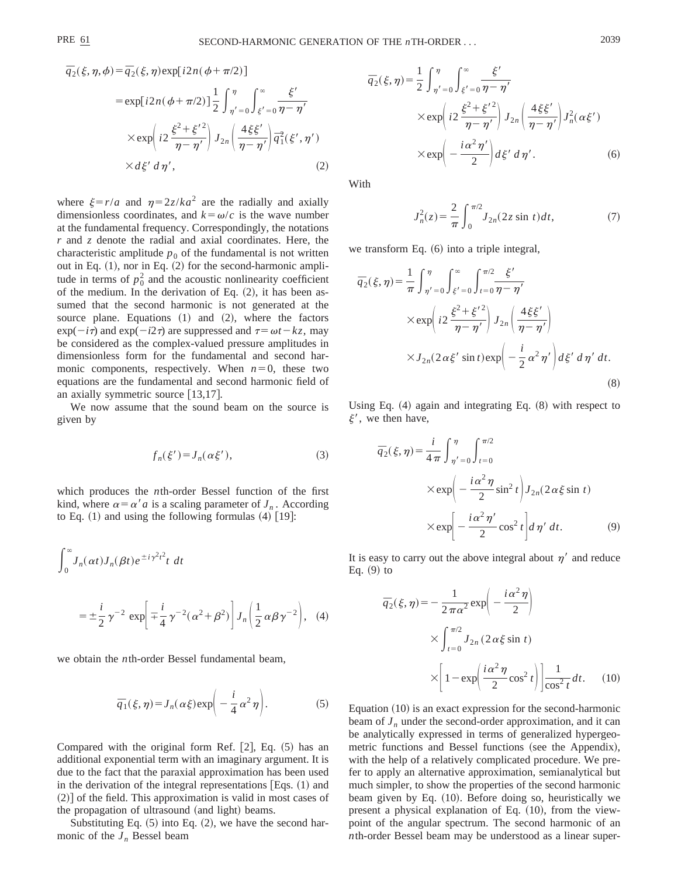$$
\overline{q}_2(\xi, \eta, \phi) = \overline{q}_2(\xi, \eta) \exp[i2n(\phi + \pi/2)]
$$
  
\n
$$
= \exp[i2n(\phi + \pi/2)] \frac{1}{2} \int_{\eta' = 0}^{\eta} \int_{\xi' = 0}^{\infty} \frac{\xi'}{\eta - \eta'}
$$
  
\n
$$
\times \exp\left(i2 \frac{\xi^2 + \xi'^2}{\eta - \eta'}\right) J_{2n}\left(\frac{4\xi\xi'}{\eta - \eta'}\right) \overline{q}_1^2(\xi', \eta')
$$
  
\n
$$
\times d\xi' d\eta', \qquad (2)
$$

where  $\xi = r/a$  and  $\eta = 2z/ka^2$  are the radially and axially dimensionless coordinates, and  $k = \omega/c$  is the wave number at the fundamental frequency. Correspondingly, the notations *r* and *z* denote the radial and axial coordinates. Here, the characteristic amplitude  $p_0$  of the fundamental is not written out in Eq.  $(1)$ , nor in Eq.  $(2)$  for the second-harmonic amplitude in terms of  $p_0^2$  and the acoustic nonlinearity coefficient of the medium. In the derivation of Eq.  $(2)$ , it has been assumed that the second harmonic is not generated at the source plane. Equations  $(1)$  and  $(2)$ , where the factors  $\exp(-i\tau)$  and  $\exp(-i2\tau)$  are suppressed and  $\tau = \omega t - kz$ , may be considered as the complex-valued pressure amplitudes in dimensionless form for the fundamental and second harmonic components, respectively. When  $n=0$ , these two equations are the fundamental and second harmonic field of an axially symmetric source  $[13,17]$ .

We now assume that the sound beam on the source is given by

$$
f_n(\xi') = J_n(\alpha \xi'),\tag{3}
$$

which produces the *n*th-order Bessel function of the first kind, where  $\alpha = \alpha' a$  is a scaling parameter of  $J_n$ . According to Eq.  $(1)$  and using the following formulas  $(4)$  [19]:

$$
\int_0^\infty J_n(\alpha t) J_n(\beta t) e^{\pm i \gamma^2 t^2} t \, dt
$$
  
=  $\pm \frac{i}{2} \gamma^{-2} \exp\left[\mp \frac{i}{4} \gamma^{-2} (\alpha^2 + \beta^2) \right] J_n\left(\frac{1}{2} \alpha \beta \gamma^{-2} \right)$ , (4)

we obtain the *n*th-order Bessel fundamental beam,

$$
\overline{q}_1(\xi,\eta) = J_n(\alpha\xi) \exp\bigg(-\frac{i}{4}\alpha^2\eta\bigg). \tag{5}
$$

Compared with the original form Ref.  $[2]$ , Eq.  $(5)$  has an additional exponential term with an imaginary argument. It is due to the fact that the paraxial approximation has been used in the derivation of the integral representations  $[Eqs. (1)$  and  $(2)$  of the field. This approximation is valid in most cases of the propagation of ultrasound (and light) beams.

Substituting Eq.  $(5)$  into Eq.  $(2)$ , we have the second harmonic of the  $J_n$  Bessel beam

$$
\overline{q}_{2}(\xi,\eta) = \frac{1}{2} \int_{\eta'=0}^{\eta} \int_{\xi'=0}^{\infty} \frac{\xi'}{\eta-\eta'}
$$
  
 
$$
\times \exp\left(i2 \frac{\xi^{2}+\xi'^{2}}{\eta-\eta'}\right) J_{2n} \left(\frac{4\xi\xi'}{\eta-\eta'}\right) J_{n}^{2}(\alpha\xi')
$$
  
 
$$
\times \exp\left(-\frac{i\alpha^{2}\eta'}{2}\right) d\xi' d\eta'.
$$
 (6)

With

$$
J_n^2(z) = \frac{2}{\pi} \int_0^{\pi/2} J_{2n}(2z \sin t) dt,
$$
 (7)

we transform Eq.  $(6)$  into a triple integral,

$$
\overline{q}_{2}(\xi,\eta) = \frac{1}{\pi} \int_{\eta'=0}^{\eta} \int_{\xi'=0}^{\infty} \int_{t=0}^{\pi/2} \frac{\xi'}{\eta-\eta'}
$$
  
 
$$
\times \exp\left(i2 \frac{\xi^{2} + \xi'^{2}}{\eta-\eta'}\right) J_{2n} \left(\frac{4\xi\xi'}{\eta-\eta'}\right)
$$
  
 
$$
\times J_{2n}(2\alpha\xi'\sin t) \exp\left(-\frac{i}{2}\alpha^{2}\eta'\right) d\xi' d\eta' dt.
$$
 (8)

Using Eq.  $(4)$  again and integrating Eq.  $(8)$  with respect to  $\xi'$ , we then have,

$$
\bar{q}_2(\xi, \eta) = \frac{i}{4\pi} \int_{\eta' = 0}^{\eta} \int_{t=0}^{\pi/2} dx
$$
  
 
$$
\times \exp\left(-\frac{i\alpha^2 \eta}{2} \sin^2 t\right) J_{2n}(2\alpha \xi \sin t)
$$
  
 
$$
\times \exp\left[-\frac{i\alpha^2 \eta'}{2} \cos^2 t\right] d\eta' dt. \tag{9}
$$

It is easy to carry out the above integral about  $\eta'$  and reduce Eq.  $(9)$  to

$$
\overline{q}_2(\xi, \eta) = -\frac{1}{2\pi\alpha^2} \exp\left(-\frac{i\alpha^2\eta}{2}\right)
$$

$$
\times \int_{t=0}^{\pi/2} J_{2n} (2\alpha\xi\sin t)
$$

$$
\times \left[1 - \exp\left(\frac{i\alpha^2\eta}{2}\cos^2 t\right)\right] \frac{1}{\cos^2 t} dt. \quad (10)
$$

Equation  $(10)$  is an exact expression for the second-harmonic beam of  $J_n$  under the second-order approximation, and it can be analytically expressed in terms of generalized hypergeometric functions and Bessel functions (see the Appendix), with the help of a relatively complicated procedure. We prefer to apply an alternative approximation, semianalytical but much simpler, to show the properties of the second harmonic beam given by Eq. (10). Before doing so, heuristically we present a physical explanation of Eq.  $(10)$ , from the viewpoint of the angular spectrum. The second harmonic of an *n*th-order Bessel beam may be understood as a linear super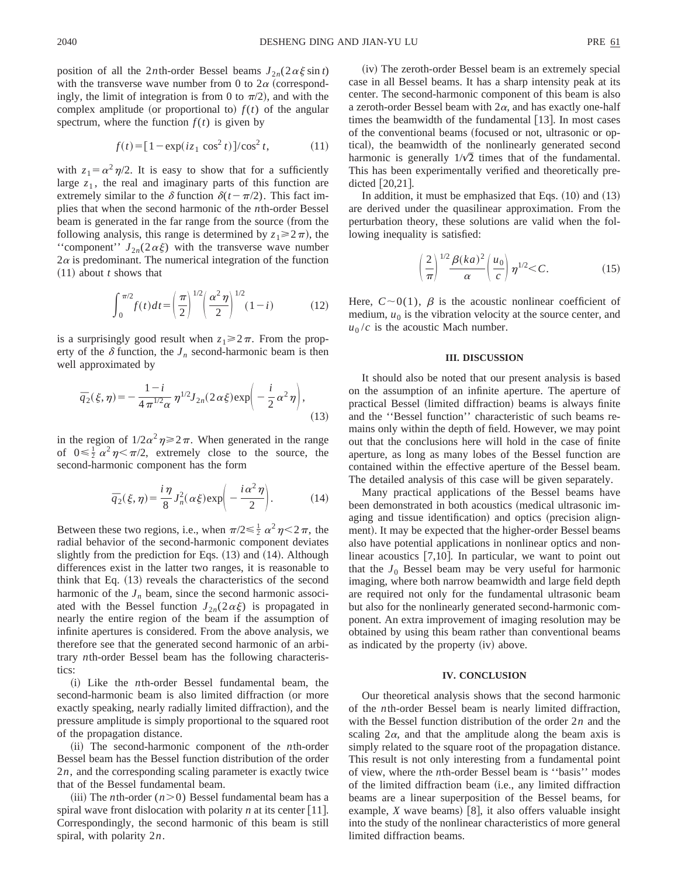position of all the 2*n*th-order Bessel beams  $J_{2n}(2\alpha\xi\sin t)$ with the transverse wave number from 0 to  $2\alpha$  (correspondingly, the limit of integration is from 0 to  $\pi/2$ ), and with the complex amplitude (or proportional to)  $f(t)$  of the angular spectrum, where the function  $f(t)$  is given by

$$
f(t) = [1 - \exp(iz_1 \cos^2 t)]/\cos^2 t, \qquad (11)
$$

with  $z_1 = \alpha^2 \eta/2$ . It is easy to show that for a sufficiently large  $z_1$ , the real and imaginary parts of this function are extremely similar to the  $\delta$  function  $\delta(t-\pi/2)$ . This fact implies that when the second harmonic of the *n*th-order Bessel beam is generated in the far range from the source (from the following analysis, this range is determined by  $z_1 \geq 2\pi$ , the "component"  $J_{2n}(2\alpha\xi)$  with the transverse wave number  $2\alpha$  is predominant. The numerical integration of the function  $(11)$  about *t* shows that

$$
\int_0^{\pi/2} f(t)dt = \left(\frac{\pi}{2}\right)^{1/2} \left(\frac{\alpha^2 \eta}{2}\right)^{1/2} (1-i)
$$
 (12)

is a surprisingly good result when  $z_1 \geq 2\pi$ . From the property of the  $\delta$  function, the  $J_n$  second-harmonic beam is then well approximated by

$$
\bar{q}_2(\xi,\eta) = -\frac{1-i}{4\pi^{1/2}\alpha} \eta^{1/2} J_{2n}(2\alpha\xi) \exp\left(-\frac{i}{2}\alpha^2\eta\right),\tag{13}
$$

in the region of  $1/2\alpha^2\eta \ge 2\pi$ . When generated in the range of  $0 \le \frac{1}{2} \alpha^2 \eta \le \pi/2$ , extremely close to the source, the second-harmonic component has the form

$$
\overline{q}_2(\xi,\eta) = \frac{i\,\eta}{8} J_n^2(\alpha\xi) \exp\bigg(-\frac{i\,\alpha^2\,\eta}{2}\bigg). \tag{14}
$$

Between these two regions, i.e., when  $\pi/2 \le \frac{1}{2} \alpha^2 \eta \le 2\pi$ , the radial behavior of the second-harmonic component deviates slightly from the prediction for Eqs.  $(13)$  and  $(14)$ . Although differences exist in the latter two ranges, it is reasonable to think that Eq.  $(13)$  reveals the characteristics of the second harmonic of the  $J_n$  beam, since the second harmonic associated with the Bessel function  $J_{2n}(2\alpha \xi)$  is propagated in nearly the entire region of the beam if the assumption of infinite apertures is considered. From the above analysis, we therefore see that the generated second harmonic of an arbitrary *n*th-order Bessel beam has the following characteristics:

~i! Like the *n*th-order Bessel fundamental beam, the second-harmonic beam is also limited diffraction (or more exactly speaking, nearly radially limited diffraction), and the pressure amplitude is simply proportional to the squared root of the propagation distance.

(ii) The second-harmonic component of the *n*th-order Bessel beam has the Bessel function distribution of the order 2*n*, and the corresponding scaling parameter is exactly twice that of the Bessel fundamental beam.

(iii) The *n*th-order  $(n>0)$  Bessel fundamental beam has a spiral wave front dislocation with polarity  $n$  at its center [11]. Correspondingly, the second harmonic of this beam is still spiral, with polarity 2*n*.

(iv) The zeroth-order Bessel beam is an extremely special case in all Bessel beams. It has a sharp intensity peak at its center. The second-harmonic component of this beam is also a zeroth-order Bessel beam with  $2\alpha$ , and has exactly one-half times the beamwidth of the fundamental  $[13]$ . In most cases of the conventional beams (focused or not, ultrasonic or optical), the beamwidth of the nonlinearly generated second harmonic is generally  $1/\sqrt{2}$  times that of the fundamental. This has been experimentally verified and theoretically predicted  $[20,21]$ .

In addition, it must be emphasized that Eqs.  $(10)$  and  $(13)$ are derived under the quasilinear approximation. From the perturbation theory, these solutions are valid when the following inequality is satisfied:

$$
\left(\frac{2}{\pi}\right)^{1/2} \frac{\beta(ka)^2}{\alpha} \left(\frac{u_0}{c}\right) \eta^{1/2} < C.
$$
 (15)

Here,  $C \sim 0(1)$ ,  $\beta$  is the acoustic nonlinear coefficient of medium,  $u_0$  is the vibration velocity at the source center, and  $u_0/c$  is the acoustic Mach number.

#### **III. DISCUSSION**

It should also be noted that our present analysis is based on the assumption of an infinite aperture. The aperture of practical Bessel (limited diffraction) beams is always finite and the ''Bessel function'' characteristic of such beams remains only within the depth of field. However, we may point out that the conclusions here will hold in the case of finite aperture, as long as many lobes of the Bessel function are contained within the effective aperture of the Bessel beam. The detailed analysis of this case will be given separately.

Many practical applications of the Bessel beams have been demonstrated in both acoustics (medical ultrasonic imaging and tissue identification) and optics (precision alignment). It may be expected that the higher-order Bessel beams also have potential applications in nonlinear optics and nonlinear acoustics  $[7,10]$ . In particular, we want to point out that the  $J_0$  Bessel beam may be very useful for harmonic imaging, where both narrow beamwidth and large field depth are required not only for the fundamental ultrasonic beam but also for the nonlinearly generated second-harmonic component. An extra improvement of imaging resolution may be obtained by using this beam rather than conventional beams as indicated by the property (iv) above.

## **IV. CONCLUSION**

Our theoretical analysis shows that the second harmonic of the *n*th-order Bessel beam is nearly limited diffraction, with the Bessel function distribution of the order 2*n* and the scaling  $2\alpha$ , and that the amplitude along the beam axis is simply related to the square root of the propagation distance. This result is not only interesting from a fundamental point of view, where the *n*th-order Bessel beam is ''basis'' modes of the limited diffraction beam (i.e., any limited diffraction beams are a linear superposition of the Bessel beams, for example,  $X$  wave beams) [8], it also offers valuable insight into the study of the nonlinear characteristics of more general limited diffraction beams.